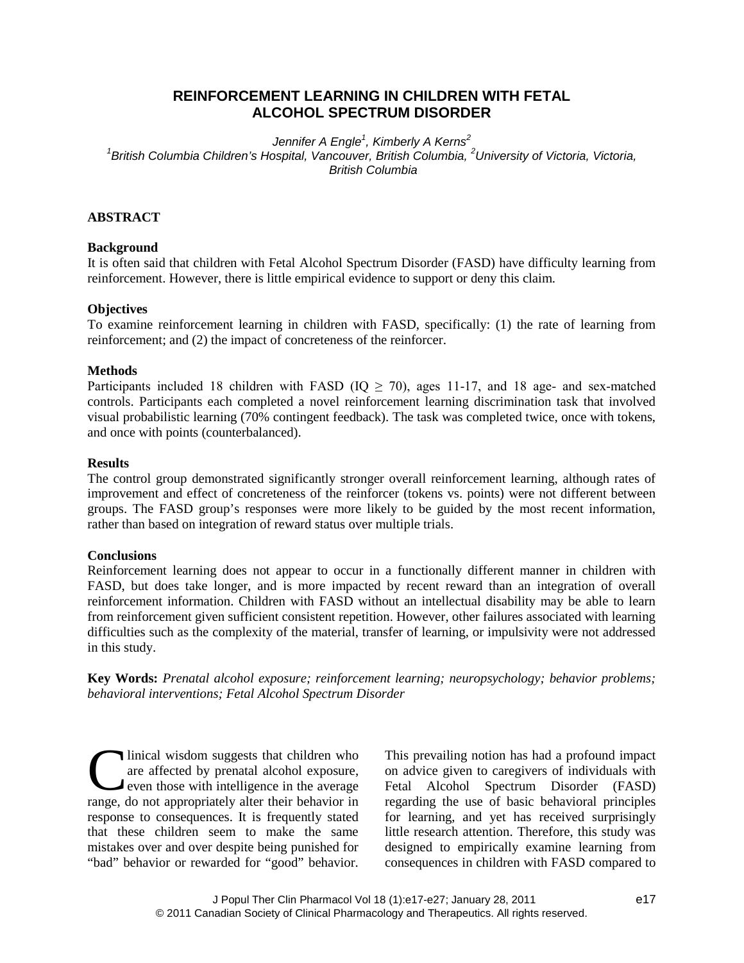# **REINFORCEMENT LEARNING IN CHILDREN WITH FETAL ALCOHOL SPECTRUM DISORDER**

*Jennifer A Engle<sup>1</sup> , Kimberly A Kerns<sup>2</sup>*

*1 British Columbia Children's Hospital, Vancouver, British Columbia, <sup>2</sup>University of Victoria, Victoria, British Columbia*

# **ABSTRACT**

# **Background**

It is often said that children with Fetal Alcohol Spectrum Disorder (FASD) have difficulty learning from reinforcement. However, there is little empirical evidence to support or deny this claim.

# **Objectives**

To examine reinforcement learning in children with FASD, specifically: (1) the rate of learning from reinforcement; and (2) the impact of concreteness of the reinforcer.

# **Methods**

Participants included 18 children with FASD ( $IQ \ge 70$ ), ages 11-17, and 18 age- and sex-matched controls. Participants each completed a novel reinforcement learning discrimination task that involved visual probabilistic learning (70% contingent feedback). The task was completed twice, once with tokens, and once with points (counterbalanced).

# **Results**

The control group demonstrated significantly stronger overall reinforcement learning, although rates of improvement and effect of concreteness of the reinforcer (tokens vs. points) were not different between groups. The FASD group's responses were more likely to be guided by the most recent information, rather than based on integration of reward status over multiple trials.

# **Conclusions**

Reinforcement learning does not appear to occur in a functionally different manner in children with FASD, but does take longer, and is more impacted by recent reward than an integration of overall reinforcement information. Children with FASD without an intellectual disability may be able to learn from reinforcement given sufficient consistent repetition. However, other failures associated with learning difficulties such as the complexity of the material, transfer of learning, or impulsivity were not addressed in this study.

**Key Words:** *Prenatal alcohol exposure; reinforcement learning; neuropsychology; behavior problems; behavioral interventions; Fetal Alcohol Spectrum Disorder*

linical wisdom suggests that children who are affected by prenatal alcohol exposure, **even those with intelligence in the average** Inical wisdom suggests that children who<br>are affected by prenatal alcohol exposure,<br>even those with intelligence in the average<br>range, do not appropriately alter their behavior in response to consequences. It is frequently stated that these children seem to make the same mistakes over and over despite being punished for "bad" behavior or rewarded for "good" behavior.

This prevailing notion has had a profound impact on advice given to caregivers of individuals with Fetal Alcohol Spectrum Disorder (FASD) regarding the use of basic behavioral principles for learning, and yet has received surprisingly little research attention. Therefore, this study was designed to empirically examine learning from consequences in children with FASD compared to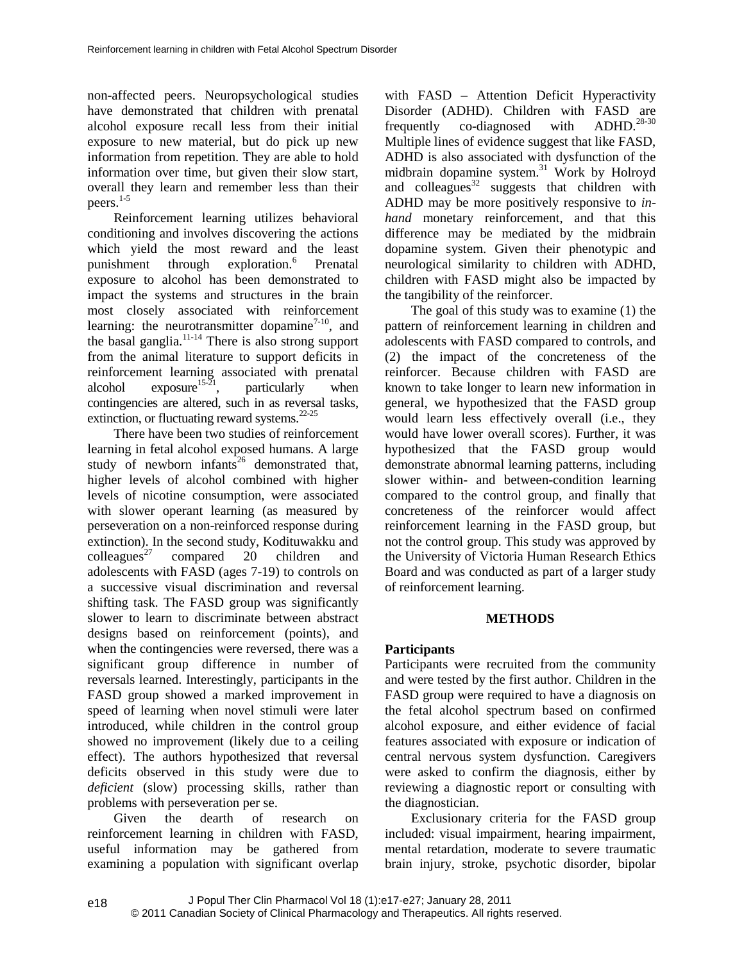non-affected peers. Neuropsychological studies have demonstrated that children with prenatal alcohol exposure recall less from their initial exposure to new material, but do pick up new information from repetition. They are able to hold information over time, but given their slow start, overall they learn and remember less than their peers. $1-5$ 

Reinforcement learning utilizes behavioral conditioning and involves discovering the actions which yield the most reward and the least punishment through exploration.<sup>6</sup> Prenatal exposure to alcohol has been demonstrated to impact the systems and structures in the brain most closely associated with reinforcement learning: the neurotransmitter dopamine<sup>7-10</sup>, and the basal ganglia.11-14 There is also strong support from the animal literature to support deficits in reinforcement learning associated with prenatal alcohol exposure<sup>15-21</sup>, particularly when contingencies are altered, such in as reversal tasks, extinction, or fluctuating reward systems.22-25

There have been two studies of reinforcement learning in fetal alcohol exposed humans. A large study of newborn infants<sup>26</sup> demonstrated that, higher levels of alcohol combined with higher levels of nicotine consumption, were associated with slower operant learning (as measured by perseveration on a non-reinforced response during extinction). In the second study, Kodituwakku and  $\text{colleagues}^{27}$  compared 20 children and adolescents with FASD (ages 7-19) to controls on a successive visual discrimination and reversal shifting task. The FASD group was significantly slower to learn to discriminate between abstract designs based on reinforcement (points), and when the contingencies were reversed, there was a significant group difference in number of reversals learned. Interestingly, participants in the FASD group showed a marked improvement in speed of learning when novel stimuli were later introduced, while children in the control group showed no improvement (likely due to a ceiling effect). The authors hypothesized that reversal deficits observed in this study were due to *deficient* (slow) processing skills, rather than problems with perseveration per se.

Given the dearth of research on reinforcement learning in children with FASD, useful information may be gathered from examining a population with significant overlap with FASD – Attention Deficit Hyperactivity Disorder (ADHD). Children with FASD are frequently co-diagnosed with  $ADHD.<sup>28-30</sup>$ Multiple lines of evidence suggest that like FASD, ADHD is also associated with dysfunction of the midbrain dopamine system.<sup>31</sup> Work by Holroyd and colleagues<sup>32</sup> suggests that children with ADHD may be more positively responsive to *inhand* monetary reinforcement, and that this difference may be mediated by the midbrain dopamine system. Given their phenotypic and neurological similarity to children with ADHD, children with FASD might also be impacted by the tangibility of the reinforcer.

The goal of this study was to examine (1) the pattern of reinforcement learning in children and adolescents with FASD compared to controls, and (2) the impact of the concreteness of the reinforcer. Because children with FASD are known to take longer to learn new information in general, we hypothesized that the FASD group would learn less effectively overall (i.e., they would have lower overall scores). Further, it was hypothesized that the FASD group would demonstrate abnormal learning patterns, including slower within- and between-condition learning compared to the control group, and finally that concreteness of the reinforcer would affect reinforcement learning in the FASD group, but not the control group. This study was approved by the University of Victoria Human Research Ethics Board and was conducted as part of a larger study of reinforcement learning.

# **METHODS**

# **Participants**

Participants were recruited from the community and were tested by the first author. Children in the FASD group were required to have a diagnosis on the fetal alcohol spectrum based on confirmed alcohol exposure, and either evidence of facial features associated with exposure or indication of central nervous system dysfunction. Caregivers were asked to confirm the diagnosis, either by reviewing a diagnostic report or consulting with the diagnostician.

Exclusionary criteria for the FASD group included: visual impairment, hearing impairment, mental retardation, moderate to severe traumatic brain injury, stroke, psychotic disorder, bipolar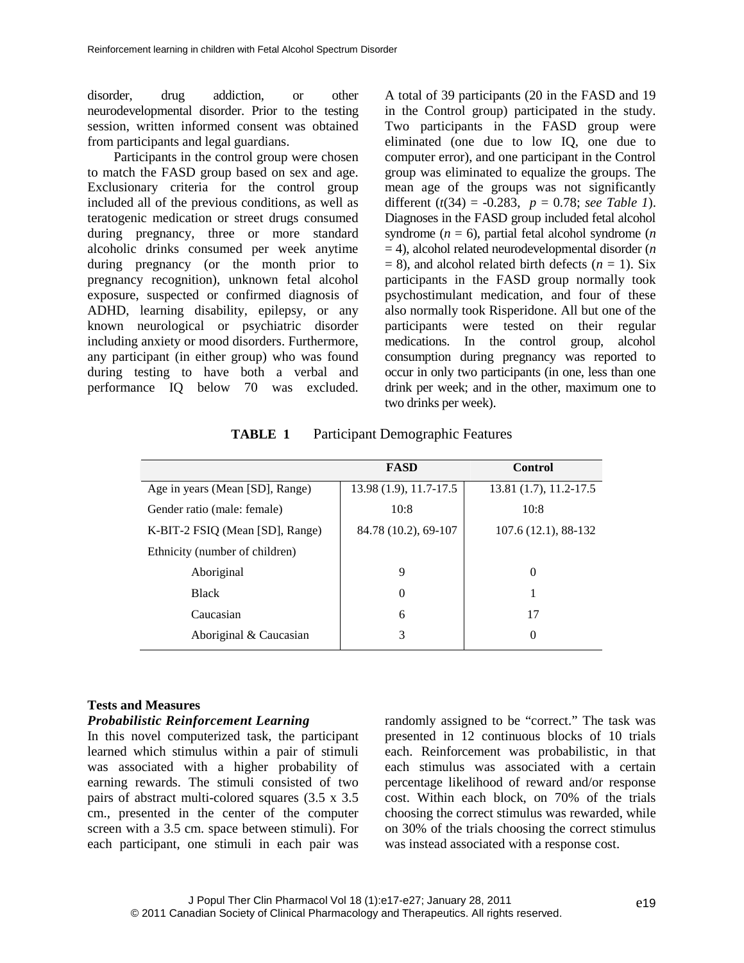disorder, drug addiction, or other neurodevelopmental disorder. Prior to the testing session, written informed consent was obtained from participants and legal guardians.

Participants in the control group were chosen to match the FASD group based on sex and age. Exclusionary criteria for the control group included all of the previous conditions, as well as teratogenic medication or street drugs consumed during pregnancy, three or more standard alcoholic drinks consumed per week anytime during pregnancy (or the month prior to pregnancy recognition), unknown fetal alcohol exposure, suspected or confirmed diagnosis of ADHD, learning disability, epilepsy, or any known neurological or psychiatric disorder including anxiety or mood disorders. Furthermore, any participant (in either group) who was found during testing to have both a verbal and performance IQ below 70 was excluded. A total of 39 participants (20 in the FASD and 19 in the Control group) participated in the study. Two participants in the FASD group were eliminated (one due to low IQ, one due to computer error), and one participant in the Control group was eliminated to equalize the groups. The mean age of the groups was not significantly different (*t*(34) = -0.283, *p* = 0.78; *see Table 1*). Diagnoses in the FASD group included fetal alcohol syndrome  $(n = 6)$ , partial fetal alcohol syndrome  $(n \leq n)$ = 4), alcohol related neurodevelopmental disorder (*n*  $= 8$ ), and alcohol related birth defects ( $n = 1$ ). Six participants in the FASD group normally took psychostimulant medication, and four of these also normally took Risperidone. All but one of the participants were tested on their regular medications. In the control group, alcohol consumption during pregnancy was reported to occur in only two participants (in one, less than one drink per week; and in the other, maximum one to two drinks per week).

| <b>TABLE 1</b> | <b>Participant Demographic Features</b> |  |
|----------------|-----------------------------------------|--|
|----------------|-----------------------------------------|--|

|                                 | <b>FASD</b>            | Control                |
|---------------------------------|------------------------|------------------------|
| Age in years (Mean [SD], Range) | 13.98 (1.9), 11.7-17.5 | 13.81 (1.7), 11.2-17.5 |
| Gender ratio (male: female)     | 10:8                   | 10:8                   |
| K-BIT-2 FSIQ (Mean [SD], Range) | 84.78 (10.2), 69-107   | $107.6(12.1), 88-132$  |
| Ethnicity (number of children)  |                        |                        |
| Aboriginal                      | 9                      | $\Omega$               |
| <b>Black</b>                    | 0                      |                        |
| Caucasian                       | 6                      | 17                     |
| Aboriginal & Caucasian          | 3                      | $\Omega$               |

## **Tests and Measures**

## *Probabilistic Reinforcement Learning*

In this novel computerized task, the participant learned which stimulus within a pair of stimuli was associated with a higher probability of earning rewards. The stimuli consisted of two pairs of abstract multi-colored squares (3.5 x 3.5 cm., presented in the center of the computer screen with a 3.5 cm. space between stimuli). For each participant, one stimuli in each pair was randomly assigned to be "correct." The task was presented in 12 continuous blocks of 10 trials each. Reinforcement was probabilistic, in that each stimulus was associated with a certain percentage likelihood of reward and/or response cost. Within each block, on 70% of the trials choosing the correct stimulus was rewarded, while on 30% of the trials choosing the correct stimulus was instead associated with a response cost.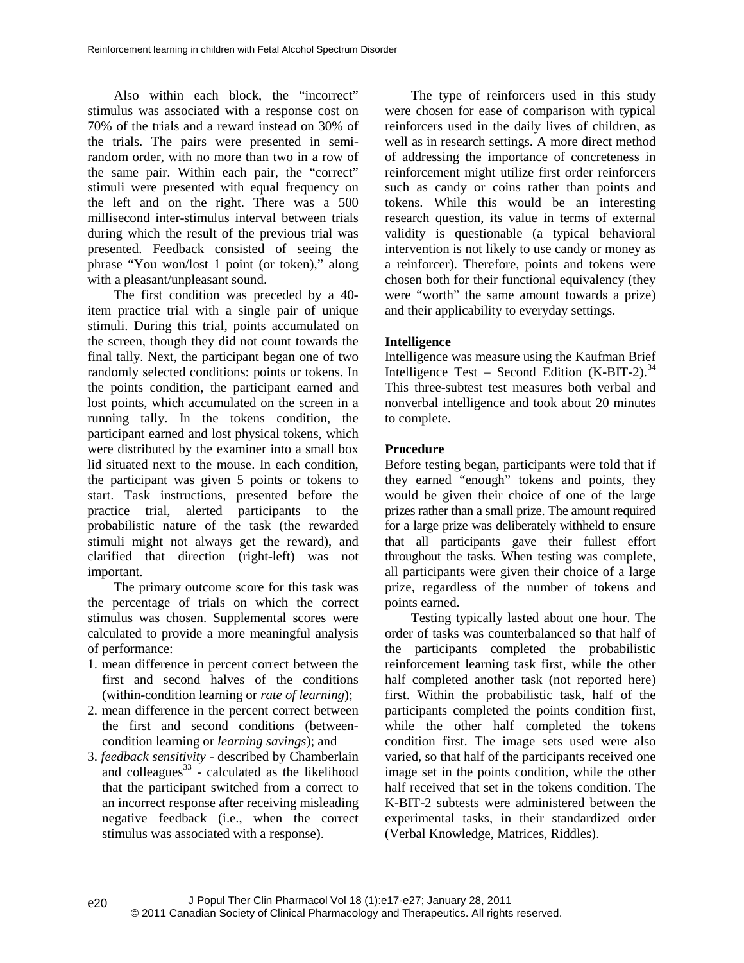Also within each block, the "incorrect" stimulus was associated with a response cost on 70% of the trials and a reward instead on 30% of the trials. The pairs were presented in semirandom order, with no more than two in a row of the same pair. Within each pair, the "correct" stimuli were presented with equal frequency on the left and on the right. There was a 500 millisecond inter-stimulus interval between trials during which the result of the previous trial was presented. Feedback consisted of seeing the phrase "You won/lost 1 point (or token)," along with a pleasant/unpleasant sound.

The first condition was preceded by a 40 item practice trial with a single pair of unique stimuli. During this trial, points accumulated on the screen, though they did not count towards the final tally. Next, the participant began one of two randomly selected conditions: points or tokens. In the points condition, the participant earned and lost points, which accumulated on the screen in a running tally. In the tokens condition, the participant earned and lost physical tokens, which were distributed by the examiner into a small box lid situated next to the mouse. In each condition, the participant was given 5 points or tokens to start. Task instructions, presented before the practice trial, alerted participants to the probabilistic nature of the task (the rewarded stimuli might not always get the reward), and clarified that direction (right-left) was not important.

The primary outcome score for this task was the percentage of trials on which the correct stimulus was chosen. Supplemental scores were calculated to provide a more meaningful analysis of performance:

- 1. mean difference in percent correct between the first and second halves of the conditions (within-condition learning or *rate of learning*);
- 2. mean difference in the percent correct between the first and second conditions (betweencondition learning or *learning savings*); and
- 3. *feedback sensitivity* described by Chamberlain and colleagues<sup>33</sup> - calculated as the likelihood that the participant switched from a correct to an incorrect response after receiving misleading negative feedback (i.e., when the correct stimulus was associated with a response).

The type of reinforcers used in this study were chosen for ease of comparison with typical reinforcers used in the daily lives of children, as well as in research settings. A more direct method of addressing the importance of concreteness in reinforcement might utilize first order reinforcers such as candy or coins rather than points and tokens. While this would be an interesting research question, its value in terms of external validity is questionable (a typical behavioral intervention is not likely to use candy or money as a reinforcer). Therefore, points and tokens were chosen both for their functional equivalency (they were "worth" the same amount towards a prize) and their applicability to everyday settings.

# **Intelligence**

Intelligence was measure using the Kaufman Brief Intelligence Test – Second Edition  $(K-BIT-2)$ .<sup>34</sup> This three-subtest test measures both verbal and nonverbal intelligence and took about 20 minutes to complete.

# **Procedure**

Before testing began, participants were told that if they earned "enough" tokens and points, they would be given their choice of one of the large prizes rather than a small prize. The amount required for a large prize was deliberately withheld to ensure that all participants gave their fullest effort throughout the tasks. When testing was complete, all participants were given their choice of a large prize, regardless of the number of tokens and points earned.

Testing typically lasted about one hour. The order of tasks was counterbalanced so that half of the participants completed the probabilistic reinforcement learning task first, while the other half completed another task (not reported here) first. Within the probabilistic task, half of the participants completed the points condition first, while the other half completed the tokens condition first. The image sets used were also varied, so that half of the participants received one image set in the points condition, while the other half received that set in the tokens condition. The K-BIT-2 subtests were administered between the experimental tasks, in their standardized order (Verbal Knowledge, Matrices, Riddles).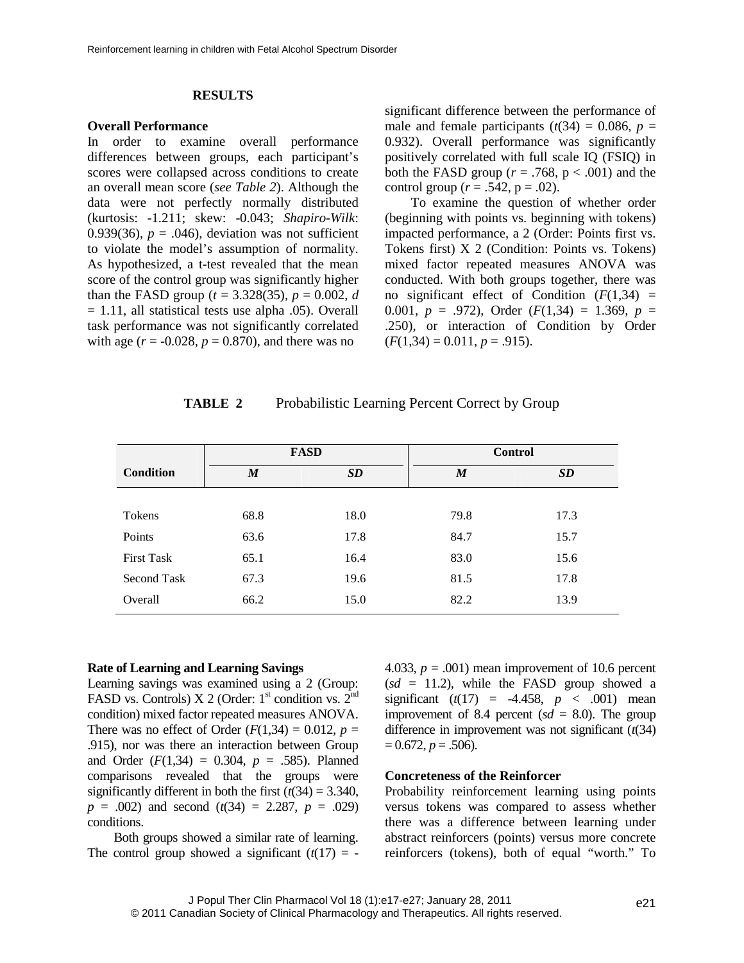### **RESULTS**

#### **Overall Performance**

In order to examine overall performance differences between groups, each participant's scores were collapsed across conditions to create an overall mean score (*see Table 2*). Although the data were not perfectly normally distributed (kurtosis: -1.211; skew: -0.043; *Shapiro-Wilk*: 0.939(36),  $p = .046$ ), deviation was not sufficient to violate the model's assumption of normality. As hypothesized, a t-test revealed that the mean score of the control group was significantly higher than the FASD group ( $t = 3.328(35)$ ,  $p = 0.002$ , *d*  $= 1.11$ , all statistical tests use alpha .05). Overall task performance was not significantly correlated with age  $(r = -0.028, p = 0.870)$ , and there was no

significant difference between the performance of male and female participants  $(t(34) = 0.086, p =$ 0.932). Overall performance was significantly positively correlated with full scale IQ (FSIQ) in both the FASD group ( $r = .768$ ,  $p < .001$ ) and the control group ( $r = .542$ ,  $p = .02$ ).

To examine the question of whether order (beginning with points vs. beginning with tokens) impacted performance, a 2 (Order: Points first vs. Tokens first) X 2 (Condition: Points vs. Tokens) mixed factor repeated measures ANOVA was conducted. With both groups together, there was no significant effect of Condition  $(F(1,34))$  = 0.001,  $p = .972$ ), Order ( $F(1,34) = 1.369$ ,  $p =$ .250), or interaction of Condition by Order  $(F(1,34) = 0.011, p = .915).$ 

| TABLE 2 | Probabilistic Learning Percent Correct by Group |  |  |  |
|---------|-------------------------------------------------|--|--|--|
|---------|-------------------------------------------------|--|--|--|

|                   | <b>FASD</b>      |      |                  | <b>Control</b> |
|-------------------|------------------|------|------------------|----------------|
| <b>Condition</b>  | $\boldsymbol{M}$ | SD   | $\boldsymbol{M}$ | SD             |
|                   |                  |      |                  |                |
| Tokens            | 68.8             | 18.0 | 79.8             | 17.3           |
| Points            | 63.6             | 17.8 | 84.7             | 15.7           |
| <b>First Task</b> | 65.1             | 16.4 | 83.0             | 15.6           |
| Second Task       | 67.3             | 19.6 | 81.5             | 17.8           |
| Overall           | 66.2             | 15.0 | 82.2             | 13.9           |

### **Rate of Learning and Learning Savings**

Learning savings was examined using a 2 (Group: FASD vs. Controls) X 2 (Order:  $1<sup>st</sup>$  condition vs.  $2<sup>nd</sup>$ condition) mixed factor repeated measures ANOVA. There was no effect of Order  $(F(1,34) = 0.012, p =$ .915), nor was there an interaction between Group and Order  $(F(1,34) = 0.304, p = .585)$ . Planned comparisons revealed that the groups were significantly different in both the first  $(t(34) = 3.340$ , *p* = .002) and second (*t*(34) = 2.287, *p* = .029) conditions.

Both groups showed a similar rate of learning. The control group showed a significant  $(t(17)) = -$  4.033,  $p = .001$ ) mean improvement of 10.6 percent  $(sd = 11.2)$ , while the FASD group showed a significant  $(t(17) = -4.458, p < .001)$  mean improvement of 8.4 percent  $sd = 8.0$ ). The group difference in improvement was not significant (*t*(34)  $= 0.672, p = .506$ .

### **Concreteness of the Reinforcer**

Probability reinforcement learning using points versus tokens was compared to assess whether there was a difference between learning under abstract reinforcers (points) versus more concrete reinforcers (tokens), both of equal "worth." To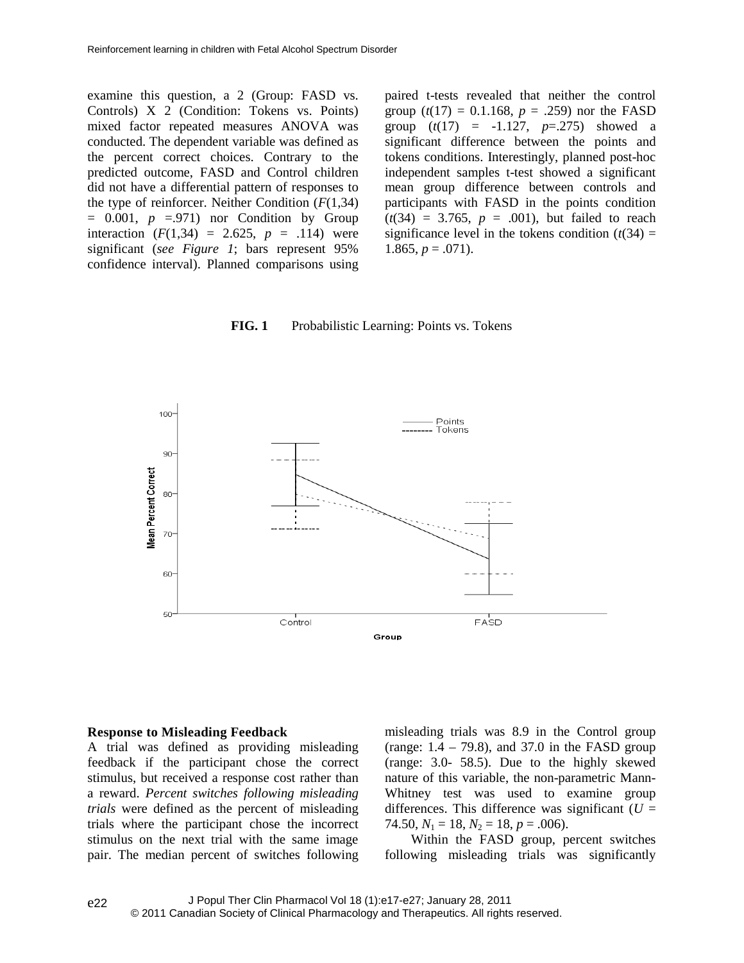examine this question, a 2 (Group: FASD vs. Controls) X 2 (Condition: Tokens vs. Points) mixed factor repeated measures ANOVA was conducted. The dependent variable was defined as the percent correct choices. Contrary to the predicted outcome, FASD and Control children did not have a differential pattern of responses to the type of reinforcer. Neither Condition  $(F(1,34))$  $= 0.001$ ,  $p = .971$ ) nor Condition by Group interaction  $(F(1,34) = 2.625, p = .114)$  were significant (*see Figure 1*; bars represent 95% confidence interval). Planned comparisons using

paired t-tests revealed that neither the control group  $(t(17) = 0.1.168, p = .259)$  nor the FASD group  $(t(17) = -1.127, p=.275)$  showed a significant difference between the points and tokens conditions. Interestingly, planned post-hoc independent samples t-test showed a significant mean group difference between controls and participants with FASD in the points condition  $(t(34) = 3.765, p = .001)$ , but failed to reach significance level in the tokens condition  $(t(34) =$ 1.865,  $p = .071$ .

## **FIG. 1** Probabilistic Learning: Points vs. Tokens



#### **Response to Misleading Feedback**

A trial was defined as providing misleading feedback if the participant chose the correct stimulus, but received a response cost rather than a reward. *Percent switches following misleading trials* were defined as the percent of misleading trials where the participant chose the incorrect stimulus on the next trial with the same image pair. The median percent of switches following misleading trials was 8.9 in the Control group (range:  $1.4 - 79.8$ ), and 37.0 in the FASD group (range: 3.0- 58.5). Due to the highly skewed nature of this variable, the non-parametric Mann-Whitney test was used to examine group differences. This difference was significant ( $U =$ 74.50,  $N_1 = 18$ ,  $N_2 = 18$ ,  $p = .006$ ).

Within the FASD group, percent switches following misleading trials was significantly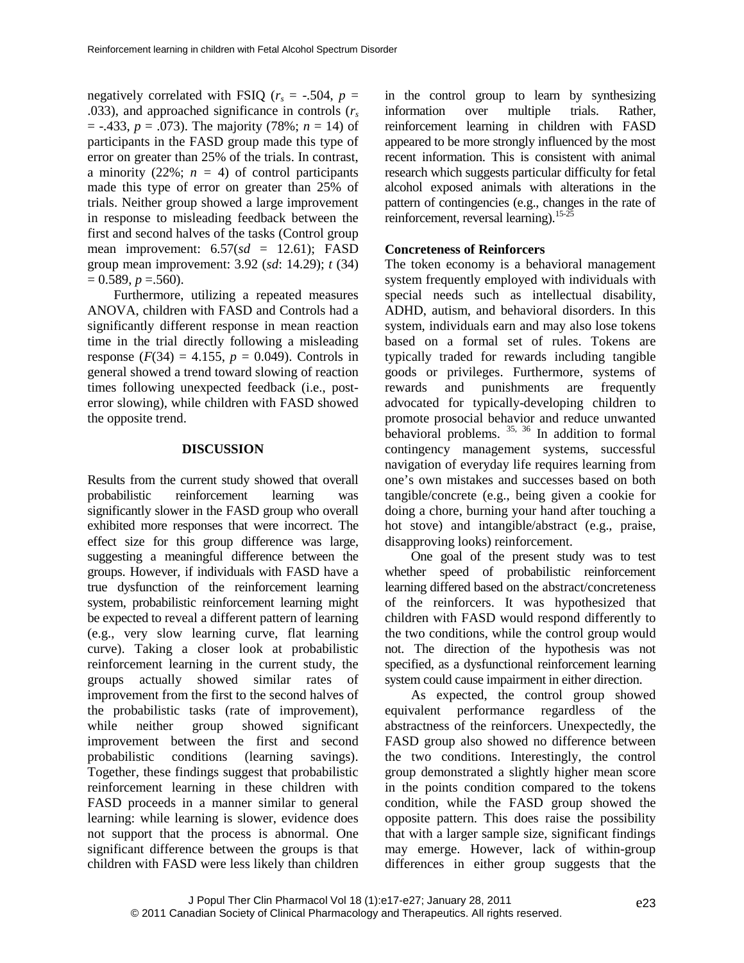negatively correlated with FSIO ( $r<sub>s</sub> = -.504$ ,  $p =$ .033), and approached significance in controls (*r<sup>s</sup>* = -.433, *p* = .073). The majority (78%; *n* = 14) of participants in the FASD group made this type of error on greater than 25% of the trials. In contrast, a minority (22%;  $n = 4$ ) of control participants made this type of error on greater than 25% of trials. Neither group showed a large improvement in response to misleading feedback between the first and second halves of the tasks (Control group mean improvement:  $6.57(sd = 12.61)$ ; FASD group mean improvement: 3.92 (*sd*: 14.29); *t* (34)  $= 0.589, p = .560$ .

Furthermore, utilizing a repeated measures ANOVA, children with FASD and Controls had a significantly different response in mean reaction time in the trial directly following a misleading response  $(F(34) = 4.155, p = 0.049)$ . Controls in general showed a trend toward slowing of reaction times following unexpected feedback (i.e., posterror slowing), while children with FASD showed the opposite trend.

## **DISCUSSION**

Results from the current study showed that overall probabilistic reinforcement learning was significantly slower in the FASD group who overall exhibited more responses that were incorrect. The effect size for this group difference was large, suggesting a meaningful difference between the groups. However, if individuals with FASD have a true dysfunction of the reinforcement learning system, probabilistic reinforcement learning might be expected to reveal a different pattern of learning (e.g., very slow learning curve, flat learning curve). Taking a closer look at probabilistic reinforcement learning in the current study, the groups actually showed similar rates of improvement from the first to the second halves of the probabilistic tasks (rate of improvement), while neither group showed significant improvement between the first and second probabilistic conditions (learning savings). Together, these findings suggest that probabilistic reinforcement learning in these children with FASD proceeds in a manner similar to general learning: while learning is slower, evidence does not support that the process is abnormal. One significant difference between the groups is that children with FASD were less likely than children in the control group to learn by synthesizing information over multiple trials. Rather, reinforcement learning in children with FASD appeared to be more strongly influenced by the most recent information. This is consistent with animal research which suggests particular difficulty for fetal alcohol exposed animals with alterations in the pattern of contingencies (e.g., changes in the rate of reinforcement, reversal learning).<sup>15-25</sup>

## **Concreteness of Reinforcers**

The token economy is a behavioral management system frequently employed with individuals with special needs such as intellectual disability, ADHD, autism, and behavioral disorders. In this system, individuals earn and may also lose tokens based on a formal set of rules. Tokens are typically traded for rewards including tangible goods or privileges. Furthermore, systems of rewards and punishments are frequently advocated for typically-developing children to promote prosocial behavior and reduce unwanted behavioral problems.  $35, 36$  In addition to formal contingency management systems, successful navigation of everyday life requires learning from one's own mistakes and successes based on both tangible/concrete (e.g., being given a cookie for doing a chore, burning your hand after touching a hot stove) and intangible/abstract (e.g., praise, disapproving looks) reinforcement.

One goal of the present study was to test whether speed of probabilistic reinforcement learning differed based on the abstract/concreteness of the reinforcers. It was hypothesized that children with FASD would respond differently to the two conditions, while the control group would not. The direction of the hypothesis was not specified, as a dysfunctional reinforcement learning system could cause impairment in either direction.

As expected, the control group showed equivalent performance regardless of the abstractness of the reinforcers. Unexpectedly, the FASD group also showed no difference between the two conditions. Interestingly, the control group demonstrated a slightly higher mean score in the points condition compared to the tokens condition, while the FASD group showed the opposite pattern. This does raise the possibility that with a larger sample size, significant findings may emerge. However, lack of within-group differences in either group suggests that the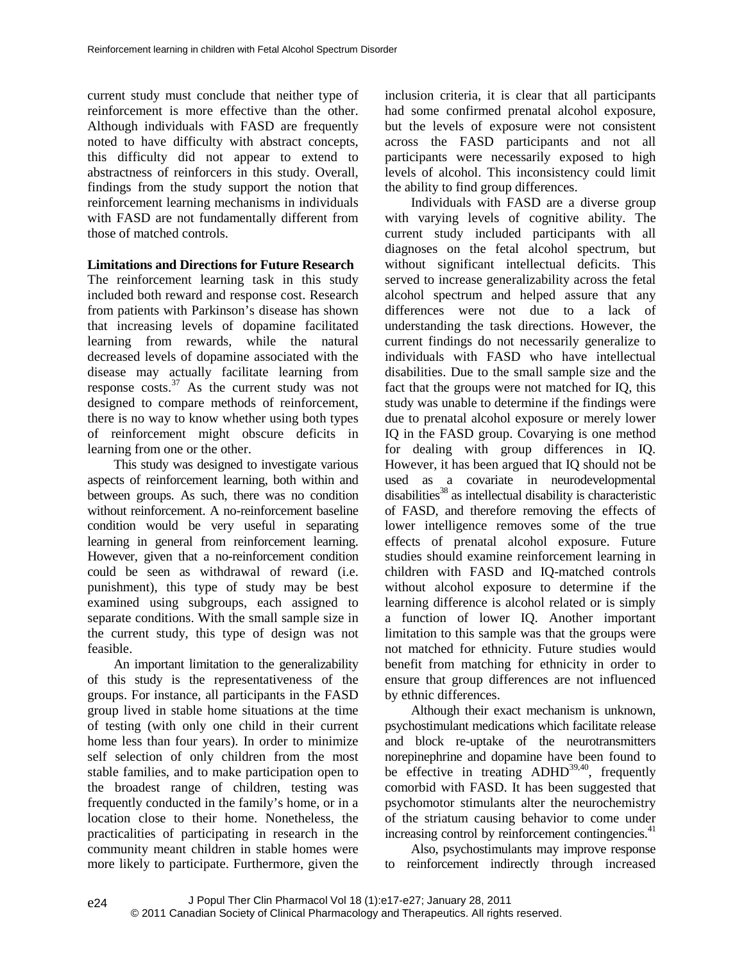current study must conclude that neither type of reinforcement is more effective than the other. Although individuals with FASD are frequently noted to have difficulty with abstract concepts, this difficulty did not appear to extend to abstractness of reinforcers in this study. Overall, findings from the study support the notion that reinforcement learning mechanisms in individuals with FASD are not fundamentally different from those of matched controls.

# **Limitations and Directions for Future Research**

The reinforcement learning task in this study included both reward and response cost. Research from patients with Parkinson's disease has shown that increasing levels of dopamine facilitated learning from rewards, while the natural decreased levels of dopamine associated with the disease may actually facilitate learning from response  $costs$ .<sup>37</sup> As the current study was not designed to compare methods of reinforcement, there is no way to know whether using both types of reinforcement might obscure deficits in learning from one or the other.

This study was designed to investigate various aspects of reinforcement learning, both within and between groups. As such, there was no condition without reinforcement. A no-reinforcement baseline condition would be very useful in separating learning in general from reinforcement learning. However, given that a no-reinforcement condition could be seen as withdrawal of reward (i.e. punishment), this type of study may be best examined using subgroups, each assigned to separate conditions. With the small sample size in the current study, this type of design was not feasible.

An important limitation to the generalizability of this study is the representativeness of the groups. For instance, all participants in the FASD group lived in stable home situations at the time of testing (with only one child in their current home less than four years). In order to minimize self selection of only children from the most stable families, and to make participation open to the broadest range of children, testing was frequently conducted in the family's home, or in a location close to their home. Nonetheless, the practicalities of participating in research in the community meant children in stable homes were more likely to participate. Furthermore, given the inclusion criteria, it is clear that all participants had some confirmed prenatal alcohol exposure, but the levels of exposure were not consistent across the FASD participants and not all participants were necessarily exposed to high levels of alcohol. This inconsistency could limit the ability to find group differences.

Individuals with FASD are a diverse group with varying levels of cognitive ability. The current study included participants with all diagnoses on the fetal alcohol spectrum, but without significant intellectual deficits. This served to increase generalizability across the fetal alcohol spectrum and helped assure that any differences were not due to a lack of understanding the task directions. However, the current findings do not necessarily generalize to individuals with FASD who have intellectual disabilities. Due to the small sample size and the fact that the groups were not matched for IQ, this study was unable to determine if the findings were due to prenatal alcohol exposure or merely lower IQ in the FASD group. Covarying is one method for dealing with group differences in IQ. However, it has been argued that IQ should not be used as a covariate in neurodevelopmental disabilities<sup>38</sup> as intellectual disability is characteristic of FASD, and therefore removing the effects of lower intelligence removes some of the true effects of prenatal alcohol exposure. Future studies should examine reinforcement learning in children with FASD and IQ-matched controls without alcohol exposure to determine if the learning difference is alcohol related or is simply a function of lower IQ. Another important limitation to this sample was that the groups were not matched for ethnicity. Future studies would benefit from matching for ethnicity in order to ensure that group differences are not influenced by ethnic differences.

Although their exact mechanism is unknown, psychostimulant medications which facilitate release and block re-uptake of the neurotransmitters norepinephrine and dopamine have been found to be effective in treating  $ADHD^{39,40}$ , frequently comorbid with FASD. It has been suggested that psychomotor stimulants alter the neurochemistry of the striatum causing behavior to come under increasing control by reinforcement contingencies.<sup>41</sup>

Also, psychostimulants may improve response to reinforcement indirectly through increased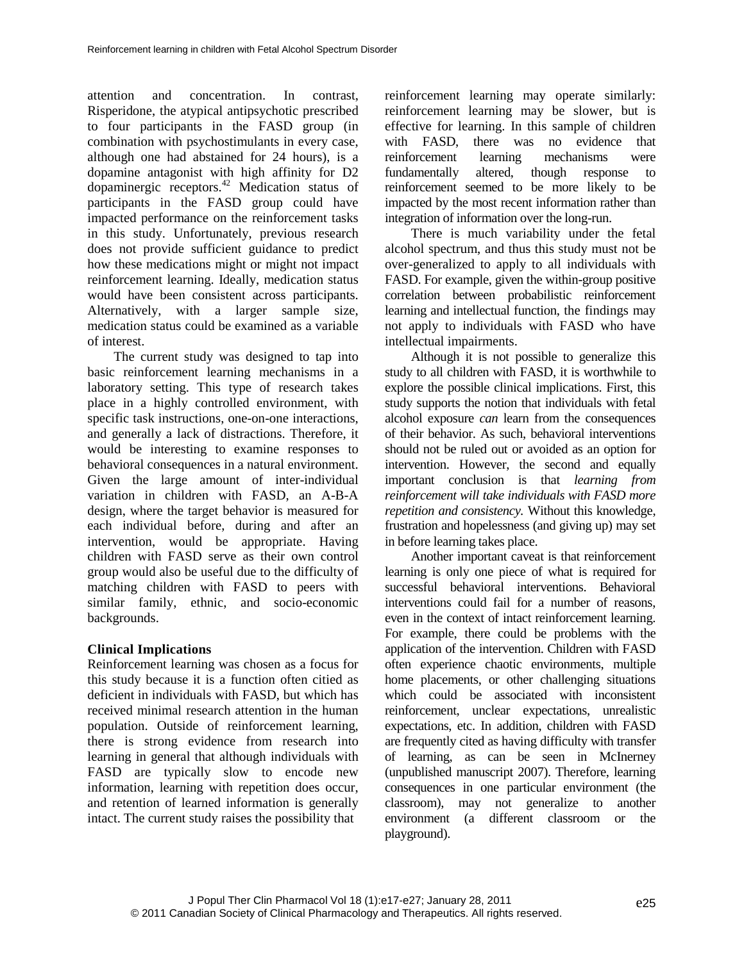attention and concentration. In contrast, Risperidone, the atypical antipsychotic prescribed to four participants in the FASD group (in combination with psychostimulants in every case, although one had abstained for 24 hours), is a dopamine antagonist with high affinity for D2 dopaminergic receptors.<sup>42</sup> Medication status of participants in the FASD group could have impacted performance on the reinforcement tasks in this study. Unfortunately, previous research does not provide sufficient guidance to predict how these medications might or might not impact reinforcement learning. Ideally, medication status would have been consistent across participants. Alternatively, with a larger sample size, medication status could be examined as a variable of interest.

The current study was designed to tap into basic reinforcement learning mechanisms in a laboratory setting. This type of research takes place in a highly controlled environment, with specific task instructions, one-on-one interactions, and generally a lack of distractions. Therefore, it would be interesting to examine responses to behavioral consequences in a natural environment. Given the large amount of inter-individual variation in children with FASD, an A-B-A design, where the target behavior is measured for each individual before, during and after an intervention, would be appropriate. Having children with FASD serve as their own control group would also be useful due to the difficulty of matching children with FASD to peers with similar family, ethnic, and socio-economic backgrounds.

# **Clinical Implications**

Reinforcement learning was chosen as a focus for this study because it is a function often citied as deficient in individuals with FASD, but which has received minimal research attention in the human population. Outside of reinforcement learning, there is strong evidence from research into learning in general that although individuals with FASD are typically slow to encode new information, learning with repetition does occur, and retention of learned information is generally intact. The current study raises the possibility that

reinforcement learning may operate similarly: reinforcement learning may be slower, but is effective for learning. In this sample of children with FASD, there was no evidence that reinforcement learning mechanisms were fundamentally altered, though response to reinforcement seemed to be more likely to be impacted by the most recent information rather than integration of information over the long-run.

There is much variability under the fetal alcohol spectrum, and thus this study must not be over-generalized to apply to all individuals with FASD. For example, given the within-group positive correlation between probabilistic reinforcement learning and intellectual function, the findings may not apply to individuals with FASD who have intellectual impairments.

Although it is not possible to generalize this study to all children with FASD, it is worthwhile to explore the possible clinical implications. First, this study supports the notion that individuals with fetal alcohol exposure *can* learn from the consequences of their behavior. As such, behavioral interventions should not be ruled out or avoided as an option for intervention. However, the second and equally important conclusion is that *learning from reinforcement will take individuals with FASD more repetition and consistency.* Without this knowledge, frustration and hopelessness (and giving up) may set in before learning takes place.

Another important caveat is that reinforcement learning is only one piece of what is required for successful behavioral interventions. Behavioral interventions could fail for a number of reasons, even in the context of intact reinforcement learning. For example, there could be problems with the application of the intervention. Children with FASD often experience chaotic environments, multiple home placements, or other challenging situations which could be associated with inconsistent reinforcement, unclear expectations, unrealistic expectations, etc. In addition, children with FASD are frequently cited as having difficulty with transfer of learning, as can be seen in McInerney (unpublished manuscript 2007). Therefore, learning consequences in one particular environment (the classroom), may not generalize to another environment (a different classroom or the playground).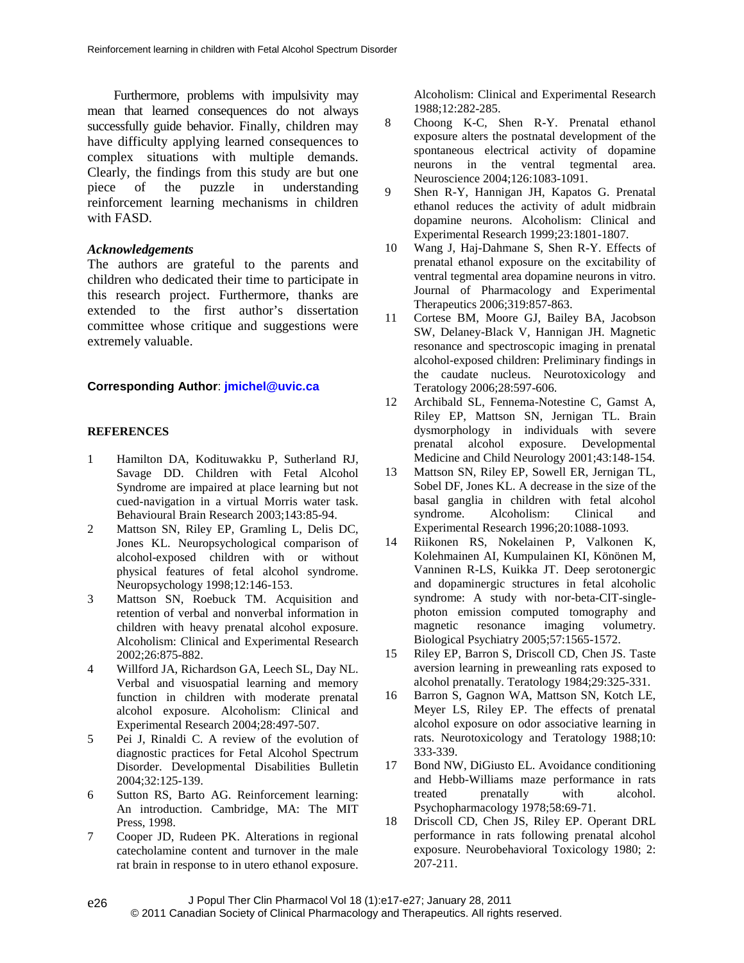Furthermore, problems with impulsivity may mean that learned consequences do not always successfully guide behavior. Finally, children may have difficulty applying learned consequences to complex situations with multiple demands. Clearly, the findings from this study are but one piece of the puzzle in understanding reinforcement learning mechanisms in children with FASD.

### *Acknowledgements*

The authors are grateful to the parents and children who dedicated their time to participate in this research project. Furthermore, thanks are extended to the first author's dissertation committee whose critique and suggestions were extremely valuable.

### **Corresponding Author**: **jmichel@uvic.ca**

### **REFERENCES**

- 1 Hamilton DA, Kodituwakku P, Sutherland RJ, Savage DD. Children with Fetal Alcohol Syndrome are impaired at place learning but not cued-navigation in a virtual Morris water task. Behavioural Brain Research 2003;143:85-94.
- 2 Mattson SN, Riley EP, Gramling L, Delis DC, Jones KL. Neuropsychological comparison of alcohol-exposed children with or without physical features of fetal alcohol syndrome. Neuropsychology 1998;12:146-153.
- 3 Mattson SN, Roebuck TM. Acquisition and retention of verbal and nonverbal information in children with heavy prenatal alcohol exposure. Alcoholism: Clinical and Experimental Research 2002;26:875-882.
- 4 Willford JA, Richardson GA, Leech SL, Day NL. Verbal and visuospatial learning and memory function in children with moderate prenatal alcohol exposure. Alcoholism: Clinical and Experimental Research 2004;28:497-507.
- 5 Pei J, Rinaldi C. A review of the evolution of diagnostic practices for Fetal Alcohol Spectrum Disorder. Developmental Disabilities Bulletin 2004;32:125-139.
- 6 Sutton RS, Barto AG. Reinforcement learning: An introduction. Cambridge, MA: The MIT Press, 1998.
- 7 Cooper JD, Rudeen PK. Alterations in regional catecholamine content and turnover in the male rat brain in response to in utero ethanol exposure.

Alcoholism: Clinical and Experimental Research 1988;12:282-285.

- 8 Choong K-C, Shen R-Y. Prenatal ethanol exposure alters the postnatal development of the spontaneous electrical activity of dopamine neurons in the ventral tegmental area. Neuroscience 2004;126:1083-1091.
- 9 Shen R-Y, Hannigan JH, Kapatos G. Prenatal ethanol reduces the activity of adult midbrain dopamine neurons. Alcoholism: Clinical and Experimental Research 1999;23:1801-1807.
- 10 Wang J, Haj-Dahmane S, Shen R-Y. Effects of prenatal ethanol exposure on the excitability of ventral tegmental area dopamine neurons in vitro. Journal of Pharmacology and Experimental Therapeutics 2006;319:857-863.
- 11 Cortese BM, Moore GJ, Bailey BA, Jacobson SW, Delaney-Black V, Hannigan JH. Magnetic resonance and spectroscopic imaging in prenatal alcohol-exposed children: Preliminary findings in the caudate nucleus. Neurotoxicology and Teratology 2006;28:597-606.
- 12 Archibald SL, Fennema-Notestine C, Gamst A, Riley EP, Mattson SN, Jernigan TL. Brain dysmorphology in individuals with severe prenatal alcohol exposure. Developmental Medicine and Child Neurology 2001;43:148-154.
- 13 Mattson SN, Riley EP, Sowell ER, Jernigan TL, Sobel DF, Jones KL. A decrease in the size of the basal ganglia in children with fetal alcohol syndrome. Alcoholism: Clinical and Experimental Research 1996;20:1088-1093.
- 14 Riikonen RS, Nokelainen P, Valkonen K, Kolehmainen AI, Kumpulainen KI, Könönen M, Vanninen R-LS, Kuikka JT. Deep serotonergic and dopaminergic structures in fetal alcoholic syndrome: A study with nor-beta-CIT-singlephoton emission computed tomography and magnetic resonance imaging volumetry. Biological Psychiatry 2005;57:1565-1572.
- 15 Riley EP, Barron S, Driscoll CD, Chen JS. Taste aversion learning in preweanling rats exposed to alcohol prenatally. Teratology 1984;29:325-331.
- 16 Barron S, Gagnon WA, Mattson SN, Kotch LE, Meyer LS, Riley EP. The effects of prenatal alcohol exposure on odor associative learning in rats. Neurotoxicology and Teratology 1988;10: 333-339.
- 17 Bond NW, DiGiusto EL. Avoidance conditioning and Hebb-Williams maze performance in rats treated prenatally with alcohol. Psychopharmacology 1978;58:69-71.
- 18 Driscoll CD, Chen JS, Riley EP. Operant DRL performance in rats following prenatal alcohol exposure. Neurobehavioral Toxicology 1980; 2: 207-211.